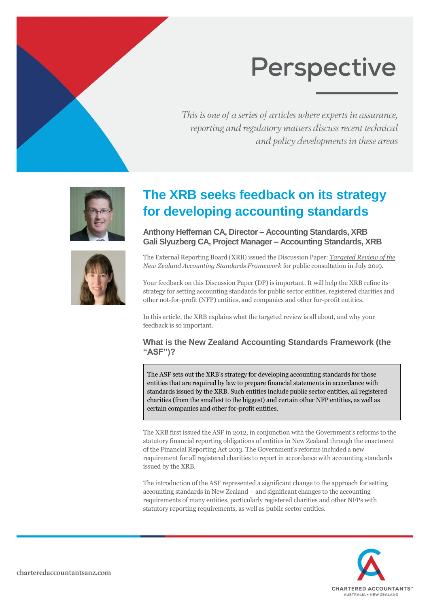# **Perspective**

This is one of a series of articles where experts in assurance, reporting and regulatory matters discuss recent technical and policy developments in these areas





# **The XRB seeks feedback on its strategy for developing accounting standards**

**Anthony Heffernan CA, Director – Accounting Standards, XRB Gali Slyuzberg CA, Project Manager – Accounting Standards, XRB**

The External Reporting Board (XRB) issued the Discussion Paper: *Targeted Review of the New Zealand Accounting Standards Framework* for public consultation in July 2019.

Your feedback on this Discussion Paper (DP) is important. It will help the XRB refine its strategy for setting accounting standards for public sector entities, registered charities and other not-for-profit (NFP) entities, and companies and other for-profit entities.

In this article, the XRB explains what the targeted review is all about, and why your feedback is so important.

### **What is the New Zealand Accounting Standards Framework (the "ASF")?**

The ASF sets out the XRB's strategy for developing accounting standards for those entities that are required by law to prepare financial statements in accordance with standards issued by the XRB. Such entities include public sector entities, all registered charities (from the smallest to the biggest) and certain other NFP entities, as well as certain companies and other for-profit entities.

The XRB first issued the ASF in 2012, in conjunction with the Government's reforms to the statutory financial reporting obligations of entities in New Zealand through the enactment of the Financial Reporting Act 2013. The Government's reforms included a new requirement for all registered charities to report in accordance with accounting standards issued by the XRB.

The introduction of the ASF represented a significant change to the approach for setting accounting standards in New Zealand – and significant changes to the accounting requirements of many entities, particularly registered charities and other NFPs with statutory reporting requirements, as well as public sector entities.

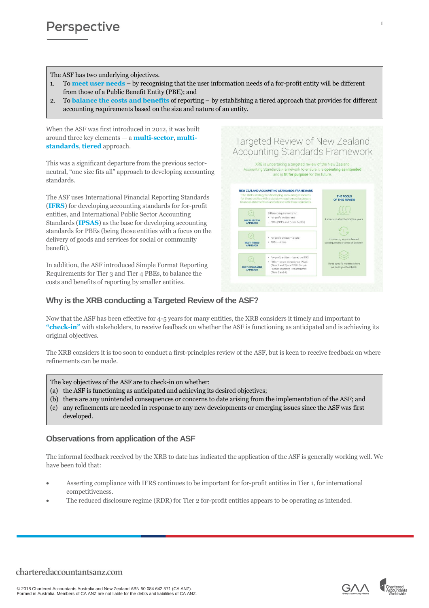The ASF has two underlying objectives.

- 1. To **meet user needs** by recognising that the user information needs of a for-profit entity will be different from those of a Public Benefit Entity (PBE); and
- 2. To **balance the costs and benefits** of reporting by establishing a tiered approach that provides for different accounting requirements based on the size and nature of an entity.

Targeted Review of New Zealand **Accounting Standards Framework** XRB is undertaking a targeted review of the New Zealand

and is fit for purpose for the future

inting Standards Fr

MULTI-SECTOR<br>APPROACH

MULTI-TIERED

NEW ZEALAND ACCOUNTING STANDARDS FRAMEWORK

Different requirements for:<br>• For-profit entities; and

· PBEs (NFPs and Public Sector)

For-profit entities - 2 tiers

For-profit entities - based on IFRS PBEs - based primarily on IPSA!<br>(Tiers 1 and 2) and XRB's Simple<br>Format Reporting Requirements<br>(Tiers 3 and 4)

+  $PBEs - 4$  tiers

work to ensure it is operating as intended

THE FOCUS<br>OF THIS REVIEW

after the first

When the ASF was first introduced in 2012, it was built around three key elements — a **multi-sector**, **multistandards**, **tiered** approach.

This was a significant departure from the previous sectorneutral, "one size fits all" approach to developing accounting standards.

The ASF uses International Financial Reporting Standards (**IFRS**) for developing accounting standards for for-profit entities, and International Public Sector Accounting Standards (**IPSAS**) as the base for developing accounting standards for PBEs (being those entities with a focus on the delivery of goods and services for social or community benefit).

In addition, the ASF introduced Simple Format Reporting Requirements for Tier 3 and Tier 4 PBEs, to balance the costs and benefits of reporting by smaller entities.

### **Why is the XRB conducting a Targeted Review of the ASF?**

Now that the ASF has been effective for 4-5 years for many entities, the XRB considers it timely and important to **"check-in"** with stakeholders, to receive feedback on whether the ASF is functioning as anticipated and is achieving its original objectives.

The XRB considers it is too soon to conduct a first-principles review of the ASF, but is keen to receive feedback on where refinements can be made.

- The key objectives of the ASF are to check-in on whether:
- (a) the ASF is functioning as anticipated and achieving its desired objectives;
- (b) there are any unintended consequences or concerns to date arising from the implementation of the ASF; and
- (c) any refinements are needed in response to any new developments or emerging issues since the ASF was first developed.

#### **Observations from application of the ASF**

The informal feedback received by the XRB to date has indicated the application of the ASF is generally working well. We have been told that:

- Asserting compliance with IFRS continues to be important for for-profit entities in Tier 1, for international competitiveness.
- The reduced disclosure regime (RDR) for Tier 2 for-profit entities appears to be operating as intended.

© 2018 Chartered Accountants Australia and New Zealand ABN 50 084 642 571 (CA ANZ). Formed in Australia. Members of CA ANZ are not liable for the debts and liabilities of CA ANZ.

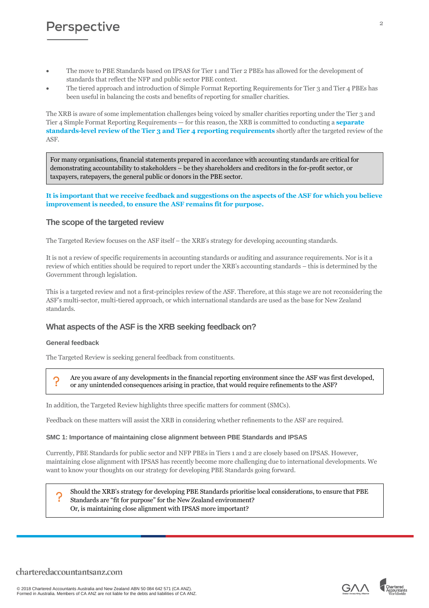## **Perspective**

- The move to PBE Standards based on IPSAS for Tier 1 and Tier 2 PBEs has allowed for the development of standards that reflect the NFP and public sector PBE context.
- The tiered approach and introduction of Simple Format Reporting Requirements for Tier 3 and Tier 4 PBEs has been useful in balancing the costs and benefits of reporting for smaller charities.

The XRB is aware of some implementation challenges being voiced by smaller charities reporting under the Tier 3 and Tier 4 Simple Format Reporting Requirements — for this reason, the XRB is committed to conducting a **separate standards-level review of the Tier 3 and Tier 4 reporting requirements** shortly after the targeted review of the ASF.

For many organisations, financial statements prepared in accordance with accounting standards are critical for demonstrating accountability to stakeholders – be they shareholders and creditors in the for-profit sector, or taxpayers, ratepayers, the general public or donors in the PBE sector.

#### **It is important that we receive feedback and suggestions on the aspects of the ASF for which you believe improvement is needed, to ensure the ASF remains fit for purpose.**

#### **The scope of the targeted review**

The Targeted Review focuses on the ASF itself – the XRB's strategy for developing accounting standards.

It is not a review of specific requirements in accounting standards or auditing and assurance requirements. Nor is it a review of which entities should be required to report under the XRB's accounting standards – this is determined by the Government through legislation.

This is a targeted review and not a first-principles review of the ASF. Therefore, at this stage we are not reconsidering the ASF's multi-sector, multi-tiered approach, or which international standards are used as the base for New Zealand standards.

#### **What aspects of the ASF is the XRB seeking feedback on?**

#### **General feedback**

The Targeted Review is seeking general feedback from constituents.

Are you aware of any developments in the financial reporting environment since the ASF was first developed, or any unintended consequences arising in practice, that would require refinements to the ASF?

In addition, the Targeted Review highlights three specific matters for comment (SMCs).

Feedback on these matters will assist the XRB in considering whether refinements to the ASF are required.

#### **SMC 1: Importance of maintaining close alignment between PBE Standards and IPSAS**

Currently, PBE Standards for public sector and NFP PBEs in Tiers 1 and 2 are closely based on IPSAS. However, maintaining close alignment with IPSAS has recently become more challenging due to international developments. We want to know your thoughts on our strategy for developing PBE Standards going forward.

Should the XRB's strategy for developing PBE Standards prioritise local considerations, to ensure that PBE Standards are "fit for purpose" for the New Zealand environment? Or, is maintaining close alignment with IPSAS more important?



 $\Omega$